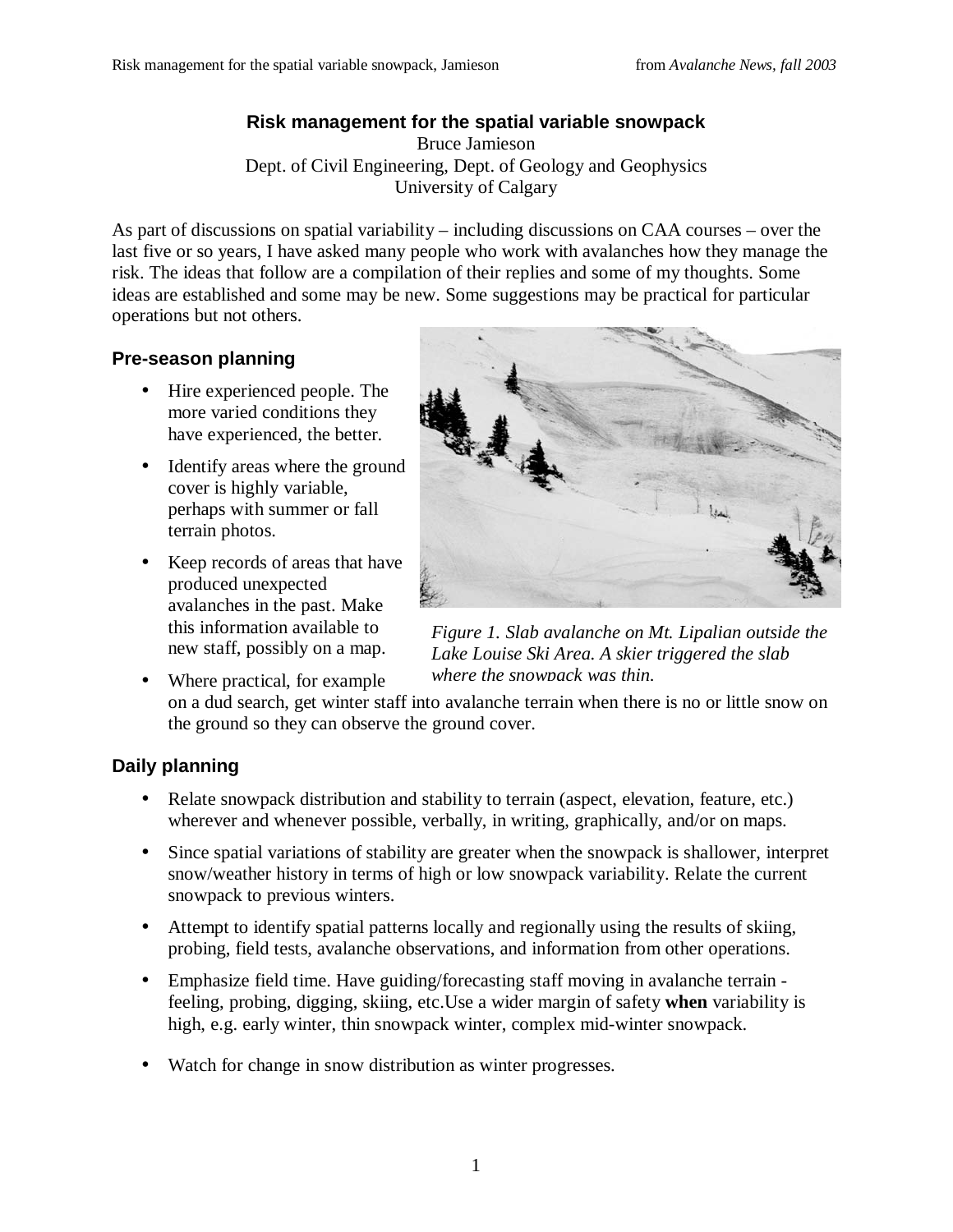#### **Risk management for the spatial variable snowpack**

Bruce Jamieson Dept. of Civil Engineering, Dept. of Geology and Geophysics University of Calgary

As part of discussions on spatial variability – including discussions on CAA courses – over the last five or so years, I have asked many people who work with avalanches how they manage the risk. The ideas that follow are a compilation of their replies and some of my thoughts. Some ideas are established and some may be new. Some suggestions may be practical for particular operations but not others.

## **Pre-season planning**

- Hire experienced people. The more varied conditions they have experienced, the better.
- Identify areas where the ground cover is highly variable, perhaps with summer or fall terrain photos.
- Keep records of areas that have produced unexpected avalanches in the past. Make this information available to new staff, possibly on a map.
- Where practical, for example



*Figure 1. Slab avalanche on Mt. Lipalian outside the Lake Louise Ski Area. A skier triggered the slab where the snowpack was thin.*

on a dud search, get winter staff into avalanche terrain when there is no or little snow on the ground so they can observe the ground cover.

## **Daily planning**

- Relate snowpack distribution and stability to terrain (aspect, elevation, feature, etc.) wherever and whenever possible, verbally, in writing, graphically, and/or on maps.
- Since spatial variations of stability are greater when the snowpack is shallower, interpret snow/weather history in terms of high or low snowpack variability. Relate the current snowpack to previous winters.
- Attempt to identify spatial patterns locally and regionally using the results of skiing, probing, field tests, avalanche observations, and information from other operations.
- Emphasize field time. Have guiding/forecasting staff moving in avalanche terrain feeling, probing, digging, skiing, etc.Use a wider margin of safety **when** variability is high, e.g. early winter, thin snowpack winter, complex mid-winter snowpack.
- Watch for change in snow distribution as winter progresses.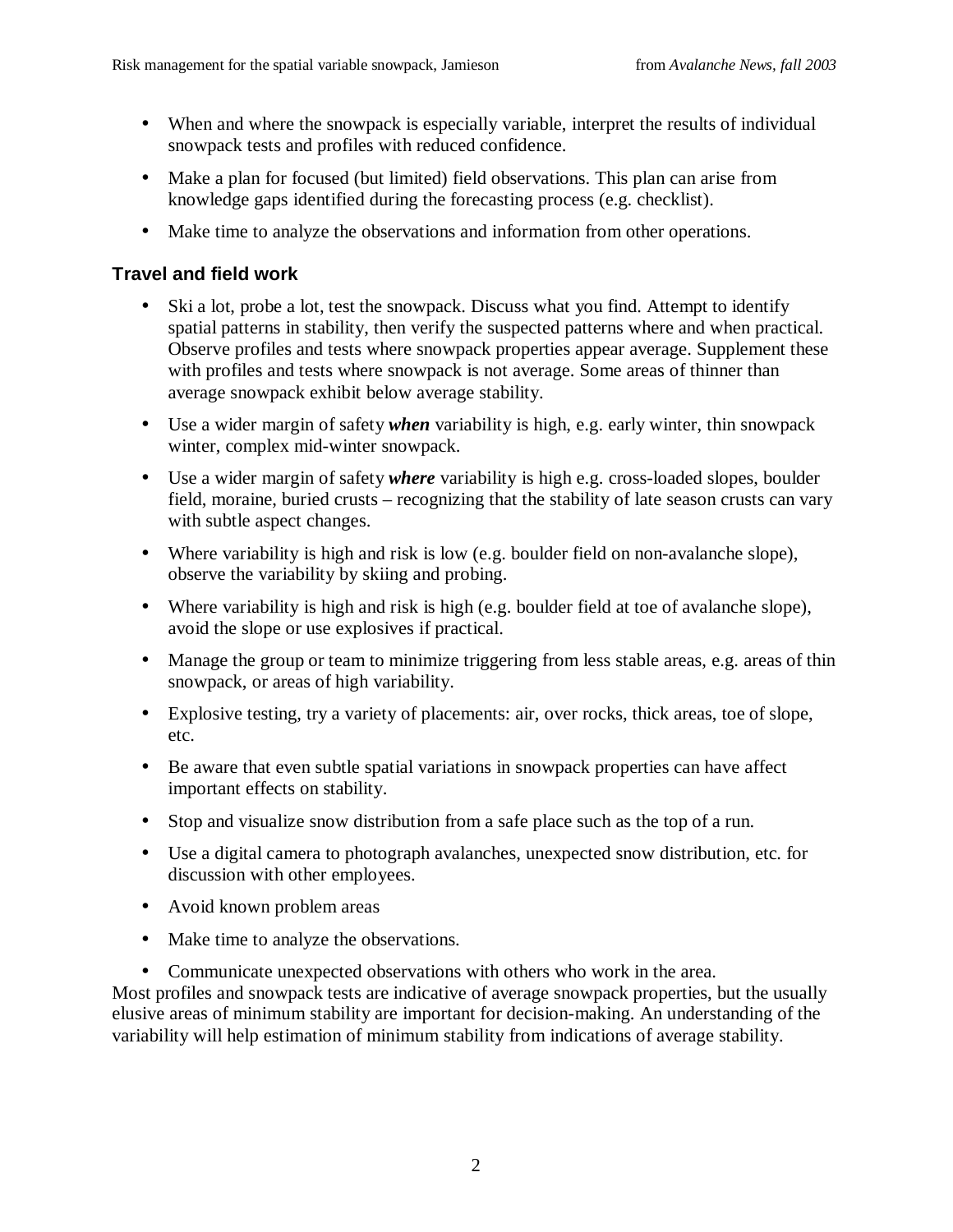- When and where the snowpack is especially variable, interpret the results of individual snowpack tests and profiles with reduced confidence.
- Make a plan for focused (but limited) field observations. This plan can arise from knowledge gaps identified during the forecasting process (e.g. checklist).
- Make time to analyze the observations and information from other operations.

# **Travel and field work**

- Ski a lot, probe a lot, test the snowpack. Discuss what you find. Attempt to identify spatial patterns in stability, then verify the suspected patterns where and when practical. Observe profiles and tests where snowpack properties appear average. Supplement these with profiles and tests where snowpack is not average. Some areas of thinner than average snowpack exhibit below average stability.
- Use a wider margin of safety *when* variability is high, e.g. early winter, thin snowpack winter, complex mid-winter snowpack.
- Use a wider margin of safety *where* variability is high e.g. cross-loaded slopes, boulder field, moraine, buried crusts – recognizing that the stability of late season crusts can vary with subtle aspect changes.
- Where variability is high and risk is low (e.g. boulder field on non-avalanche slope), observe the variability by skiing and probing.
- Where variability is high and risk is high (e.g. boulder field at toe of avalanche slope), avoid the slope or use explosives if practical.
- Manage the group or team to minimize triggering from less stable areas, e.g. areas of thin snowpack, or areas of high variability.
- Explosive testing, try a variety of placements: air, over rocks, thick areas, toe of slope, etc.
- Be aware that even subtle spatial variations in snowpack properties can have affect important effects on stability.
- Stop and visualize snow distribution from a safe place such as the top of a run.
- Use a digital camera to photograph avalanches, unexpected snow distribution, etc. for discussion with other employees.
- Avoid known problem areas
- Make time to analyze the observations.
- Communicate unexpected observations with others who work in the area. Most profiles and snowpack tests are indicative of average snowpack properties, but the usually elusive areas of minimum stability are important for decision-making. An understanding of the variability will help estimation of minimum stability from indications of average stability.